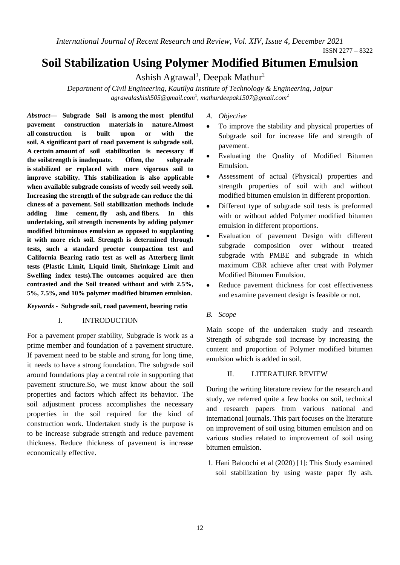*International Journal of Recent Research and Review, Vol. XIV, Issue 4, December 2021* 

# **Soil Stabilization Using Polymer Modified Bitumen Emulsion**

Ashish Agrawal<sup>1</sup>, Deepak Mathur<sup>2</sup>

*Department of Civil Engineering, Kautilya Institute of Technology & Engineering, Jaipur agrawalashish505@gmail.com*<sup>1</sup> , *mathurdeepak1507@gmail.com*<sup>2</sup>

*Abstract—* **Subgrade Soil is among the most plentiful pavement construction materials in nature.Almost all construction is built upon or with the soil. A significant part of road pavement is subgrade soil. A certain amount of soil stabilization is necessary if the soilstrength is inadequate. Often, the subgrade is stabilized or replaced with more vigorous soil to improve stability. This stabilization is also applicable when available subgrade consists of weedy soil weedy soil. Increasing the strength of the subgrade can reduce the thi ckness of a pavement. Soil stabilization methods include adding lime cement, fly ash, and fibers. In this undertaking, soil strength increments by adding polymer modified bituminous emulsion as opposed to supplanting it with more rich soil. Strength is determined through tests, such a standard proctor compaction test and California Bearing ratio test as well as Atterberg limit tests (Plastic Limit, Liquid limit, Shrinkage Limit and Swelling index tests).The outcomes acquired are then contrasted and the Soil treated without and with 2.5%, 5%, 7.5%, and 10% polymer modified bitumen emulsion.** 

## *Keywords* **- Subgrade soil, road pavement, bearing ratio**

#### I. INTRODUCTION

For a pavement proper stability, Subgrade is work as a prime member and foundation of a pavement structure. If pavement need to be stable and strong for long time, it needs to have a strong foundation. The subgrade soil around foundations play a central role in supporting that pavement structure.So, we must know about the soil properties and factors which affect its behavior. The soil adjustment process accomplishes the necessary properties in the soil required for the kind of construction work. Undertaken study is the purpose is to be increase subgrade strength and reduce pavement thickness. Reduce thickness of pavement is increase economically effective.

*A. Objective* 

- To improve the stability and physical properties of Subgrade soil for increase life and strength of pavement.
- Evaluating the Quality of Modified Bitumen Emulsion.
- Assessment of actual (Physical) properties and strength properties of soil with and without modified bitumen emulsion in different proportion.
- Different type of subgrade soil tests is preformed with or without added Polymer modified bitumen emulsion in different proportions.
- Evaluation of pavement Design with different subgrade composition over without treated subgrade with PMBE and subgrade in which maximum CBR achieve after treat with Polymer Modified Bitumen Emulsion.
- Reduce pavement thickness for cost effectiveness and examine pavement design is feasible or not.

#### *B. Scope*

Main scope of the undertaken study and research Strength of subgrade soil increase by increasing the content and proportion of Polymer modified bitumen emulsion which is added in soil.

#### II. LITERATURE REVIEW

During the writing literature review for the research and study, we referred quite a few books on soil, technical and research papers from various national and international journals. This part focuses on the literature on improvement of soil using bitumen emulsion and on various studies related to improvement of soil using bitumen emulsion.

1. Hani Baloochi et al (2020) [1]: This Study examined soil stabilization by using waste paper fly ash.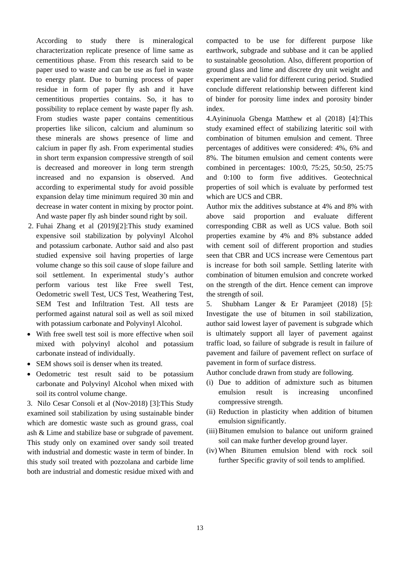According to study there is mineralogical characterization replicate presence of lime same as cementitious phase. From this research said to be paper used to waste and can be use as fuel in waste to energy plant. Due to burning process of paper residue in form of paper fly ash and it have cementitious properties contains. So, it has to possibility to replace cement by waste paper fly ash. From studies waste paper contains cementitious properties like silicon, calcium and aluminum so these minerals are shows presence of lime and calcium in paper fly ash. From experimental studies in short term expansion compressive strength of soil is decreased and moreover in long term strength increased and no expansion is observed. And according to experimental study for avoid possible expansion delay time minimum required 30 min and decrease in water content in mixing by proctor point. And waste paper fly ash binder sound right by soil.

- 2. Fuhai Zhang et al (2019)[2]:This study examined expensive soil stabilization by polyvinyl Alcohol and potassium carbonate. Author said and also past studied expensive soil having properties of large volume change so this soil cause of slope failure and soil settlement. In experimental study's author perform various test like Free swell Test, Oedometric swell Test, UCS Test, Weathering Test, SEM Test and Infiltration Test. All tests are performed against natural soil as well as soil mixed with potassium carbonate and Polyvinyl Alcohol.
- With free swell test soil is more effective when soil mixed with polyvinyl alcohol and potassium carbonate instead of individually.
- SEM shows soil is denser when its treated.
- Oedometric test result said to be potassium carbonate and Polyvinyl Alcohol when mixed with soil its control volume change.

3. Nilo Cesar Consoli et al (Nov-2018) [3]:This Study examined soil stabilization by using sustainable binder which are domestic waste such as ground grass, coal ash & Lime and stabilize base or subgrade of pavement. This study only on examined over sandy soil treated with industrial and domestic waste in term of binder. In this study soil treated with pozzolana and carbide lime both are industrial and domestic residue mixed with and

compacted to be use for different purpose like earthwork, subgrade and subbase and it can be applied to sustainable geosolution. Also, different proportion of ground glass and lime and discrete dry unit weight and experiment are valid for different curing period. Studied conclude different relationship between different kind of binder for porosity lime index and porosity binder index.

4.Ayininuola Gbenga Matthew et al (2018) [4]:This study examined effect of stabilizing lateritic soil with combination of bitumen emulsion and cement. Three percentages of additives were considered: 4%, 6% and 8%. The bitumen emulsion and cement contents were combined in percentages: 100:0, 75:25, 50:50, 25:75 and 0:100 to form five additives. Geotechnical properties of soil which is evaluate by performed test which are UCS and CBR.

Author mix the additives substance at 4% and 8% with above said proportion and evaluate different corresponding CBR as well as UCS value. Both soil properties examine by 4% and 8% substance added with cement soil of different proportion and studies seen that CBR and UCS increase were Cementous part is increase for both soil sample. Settling laterite with combination of bitumen emulsion and concrete worked on the strength of the dirt. Hence cement can improve the strength of soil.

5. Shubham Langer & Er Paramjeet (2018) [5]: Investigate the use of bitumen in soil stabilization, author said lowest layer of pavement is subgrade which is ultimately support all layer of pavement against traffic load, so failure of subgrade is result in failure of pavement and failure of pavement reflect on surface of pavement in form of surface distress.

Author conclude drawn from study are following.

- (i) Due to addition of admixture such as bitumen emulsion result is increasing unconfined compressive strength.
- (ii) Reduction in plasticity when addition of bitumen emulsion significantly.
- (iii)Bitumen emulsion to balance out uniform grained soil can make further develop ground layer.
- (iv) When Bitumen emulsion blend with rock soil further Specific gravity of soil tends to amplified.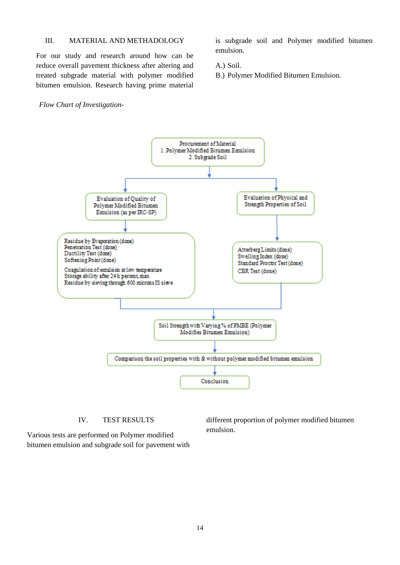# III. MATERIAL AND METHADOLOGY

For our study and research around how can be reduce overall pavement thickness after altering and treated subgrade material with polymer modified bitumen emulsion. Research having prime material is subgrade soil and Polymer modified bitumen emulsion.

A.) Soil.

B.) Polymer Modified Bitumen Emulsion.

#### *Flow Chart of Investigation-*



# IV. TEST RESULTS

Various tests are performed on Polymer modified bitumen emulsion and subgrade soil for pavement with different proportion of polymer modified bitumen emulsion.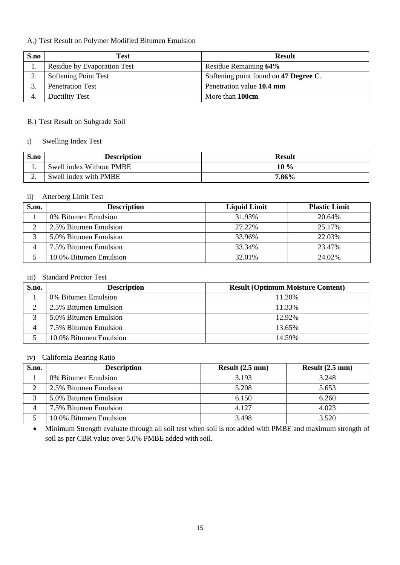# A.) Test Result on Polymer Modified Bitumen Emulsion

| S.no | Test                        | <b>Result</b>                         |
|------|-----------------------------|---------------------------------------|
|      | Residue by Evaporation Test | Residue Remaining 64%                 |
| ٠.   | Softening Point Test        | Softening point found on 47 Degree C. |
|      | <b>Penetration Test</b>     | Penetration value 10.4 mm             |
|      | <b>Ductility Test</b>       | More than 100cm.                      |

# B.) Test Result on Subgrade Soil

# i) Swelling Index Test

| S.no | <b>Description</b>       | <b>Result</b> |
|------|--------------------------|---------------|
|      | Swell index Without PMBE | $10\%$        |
| ـ.   | Swell index with PMBE    | 7.86%         |

# ii) Atterberg Limit Test

| S.no. | <b>Description</b>     | <b>Liquid Limit</b> | <b>Plastic Limit</b> |
|-------|------------------------|---------------------|----------------------|
|       | 0% Bitumen Emulsion    | 31.93%              | 20.64%               |
|       | 2.5% Bitumen Emulsion  | 27.22%              | 25.17%               |
|       | 5.0% Bitumen Emulsion  | 33.96%              | 22.03%               |
|       | 7.5% Bitumen Emulsion  | 33.34%              | 23.47%               |
|       | 10.0% Bitumen Emulsion | 32.01%              | 24.02%               |

# iii) Standard Proctor Test

| S.no. | <b>Description</b>     | <b>Result (Optimum Moisture Content)</b> |
|-------|------------------------|------------------------------------------|
|       | 0% Bitumen Emulsion    | 11.20%                                   |
|       | 2.5% Bitumen Emulsion  | 11.33%                                   |
|       | 5.0% Bitumen Emulsion  | 12.92%                                   |
|       | 7.5% Bitumen Emulsion  | 13.65%                                   |
|       | 10.0% Bitumen Emulsion | 14.59%                                   |

#### iv) California Bearing Ratio

| S.no. | <b>Description</b>     | Result $(2.5 \text{ mm})$ | Result $(2.5 \text{ mm})$ |
|-------|------------------------|---------------------------|---------------------------|
|       | 0% Bitumen Emulsion    | 3.193                     | 3.248                     |
|       | 2.5% Bitumen Emulsion  | 5.208                     | 5.653                     |
|       | 5.0% Bitumen Emulsion  | 6.150                     | 6.260                     |
|       | 7.5% Bitumen Emulsion  | 4.127                     | 4.023                     |
|       | 10.0% Bitumen Emulsion | 3.498                     | 3.520                     |

• Minimum Strength evaluate through all soil test when soil is not added with PMBE and maximum strength of soil as per CBR value over 5.0% PMBE added with soil.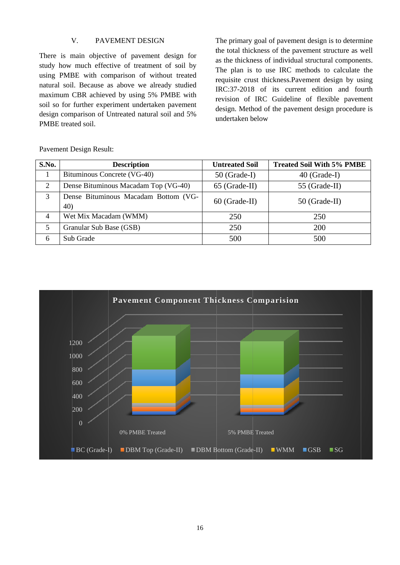#### V. PAVEMENT DESIGN

There is main objective of pavement design for study how much effective of treatment of soil by using PMBE with comparison of without treated natural soil. Because as above we already studied maximum CBR achieved by using 5% PMBE with soil so for further experiment undertaken pavement design comparison of Untreated natural soil and 5% PMBE treated soil.

The primary goal of pavement design is to determine the total thickness of the pavement structure as well as the thickness of individual structural components. The plan is to use IRC methods to calculate the requisite crust thickness. Pavement design by using IRC:37-2018 of its current edition and fourth revision of IRC Guideline of flexible pavement design. Method of the pavement design procedure is undertaken below

S.No. **Description Untreated Soil Treated Soil With 5% PMBE**  $\mathbf{1}$ Bituminous Concrete (VG-40)  $50$  (Grade-I) 40 (Grade-I)  $\overline{2}$ Dense Bituminous Macadam Top (VG-40) 55 (Grade-II) 65 (Grade-II)  $\overline{3}$ Dense Bituminous Macadam Bottom (VG-60 (Grade-II) 50 (Grade-II)  $40)$  $\overline{4}$ Wet Mix Macadam (WMM) 250 250  $\overline{5}$ Granular Sub Base (GSB) 250 200 6 Sub Grade 500 500



**Pavement Design Result:**